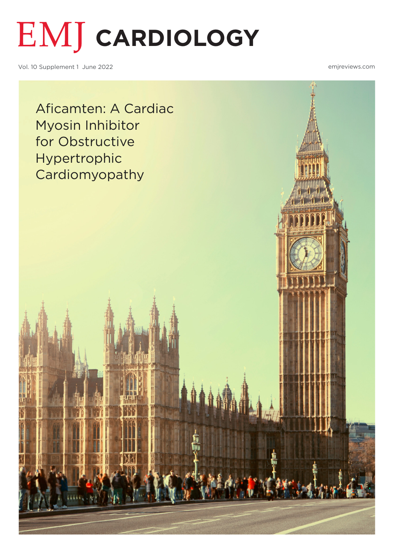

Vol. 10 Supplement 1 June 2022

emjreviews.com

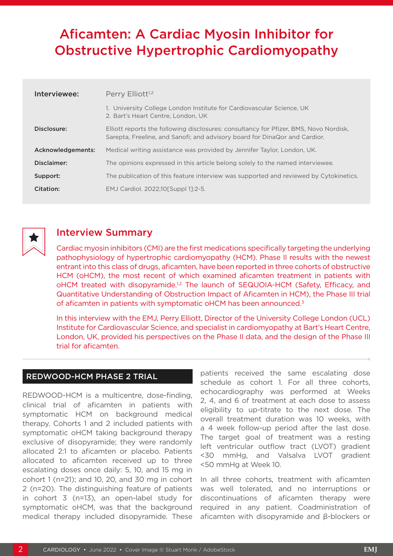# <span id="page-1-0"></span>Aficamten: A Cardiac Myosin Inhibitor for Obstructive Hypertrophic Cardiomyopathy

| Interviewee:      | Perry Elliott <sup>1,2</sup>                                                                                                                                        |
|-------------------|---------------------------------------------------------------------------------------------------------------------------------------------------------------------|
|                   | 1. University College London Institute for Cardiovascular Science, UK<br>2. Bart's Heart Centre, London, UK                                                         |
| Disclosure:       | Elliott reports the following disclosures: consultancy for Pfizer, BMS, Novo Nordisk,<br>Sarepta, Freeline, and Sanofi; and advisory board for DinaQor and Cardior. |
| Acknowledgements: | Medical writing assistance was provided by Jennifer Taylor, London, UK.                                                                                             |
| Disclaimer:       | The opinions expressed in this article belong solely to the named interviewee.                                                                                      |
| Support:          | The publication of this feature interview was supported and reviewed by Cytokinetics.                                                                               |
| Citation:         | EMJ Cardiol. 2022;10 [Suppl 1]:2-5.                                                                                                                                 |



## Interview Summary

Cardiac myosin inhibitors (CMI) are the first medications specifically targeting the underlying pathophysiology of hypertrophic cardiomyopathy (HCM). Phase II results with the newest entrant into this class of drugs, aficamten, have been reported in three cohorts of obstructive HCM (oHCM), the most recent of which examined aficamten treatment in patients with oHCM treated with disopyramide.<sup>1,2</sup> The launch of SEQUOIA-HCM (Safety, Efficacy, and Quantitative Understanding of Obstruction Impact of Aficamten in HCM), the Phase III trial of aficamten in patients with symptomatic oHCM has been announced.<sup>3</sup>

In this interview with the EMJ, Perry Elliott, Director of the University College London (UCL) Institute for Cardiovascular Science, and specialist in cardiomyopathy at Bart's Heart Centre, London, UK, provided his perspectives on the Phase II data, and the design of the Phase III trial for aficamten.

#### REDWOOD-HCM PHASE 2 TRIAL

REDWOOD-HCM is a multicentre, dose-finding, clinical trial of aficamten in patients with symptomatic HCM on background medical therapy. Cohorts 1 and 2 included patients with symptomatic oHCM taking background therapy exclusive of disopyramide; they were randomly allocated 2:1 to aficamten or placebo. Patients allocated to aficamten received up to three escalating doses once daily: 5, 10, and 15 mg in cohort 1 (n=21); and 10, 20, and 30 mg in cohort 2 (n=20). The distinguishing feature of patients in cohort 3 (n=13), an open-label study for symptomatic oHCM, was that the background medical therapy included disopyramide. These

patients received the same escalating dose schedule as cohort 1. For all three cohorts, echocardiography was performed at Weeks 2, 4, and 6 of treatment at each dose to assess eligibility to up-titrate to the next dose. The overall treatment duration was 10 weeks, with a 4 week follow-up period after the last dose. The target goal of treatment was a resting left ventricular outflow tract (LVOT) gradient <30 mmHg, and Valsalva LVOT gradient <50 mmHg at Week 10.

In all three cohorts, treatment with aficamten was well tolerated, and no interruptions or discontinuations of aficamten therapy were required in any patient. Coadministration of aficamten with disopyramide and β-blockers or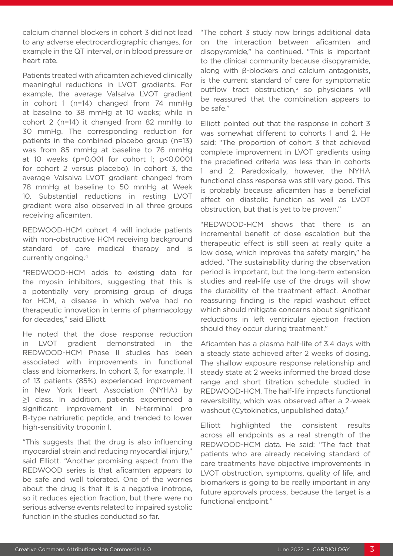calcium channel blockers in cohort 3 did not lead to any adverse electrocardiographic changes, for example in the QT interval, or in blood pressure or heart rate.

Patients treated with aficamten achieved clinically meaningful reductions in LVOT gradients. For example, the average Valsalva LVOT gradient in cohort 1 (n=14) changed from 74 mmHg at baseline to 38 mmHg at 10 weeks; while in cohort 2 (n=14) it changed from 82 mmHg to 30 mmHg. The corresponding reduction for patients in the combined placebo group (n=13) was from 85 mmHg at baseline to 76 mmHg at 10 weeks (p=0.001 for cohort 1; p<0.0001 for cohort 2 versus placebo). In cohort 3, the average Valsalva LVOT gradient changed from 78 mmHg at baseline to 50 mmHg at Week 10. Substantial reductions in resting LVOT gradient were also observed in all three groups receiving aficamten.

REDWOOD-HCM cohort 4 will include patients with non-obstructive HCM receiving background standard of care medical therapy and is currently ongoing.4

"REDWOOD-HCM adds to existing data for the myosin inhibitors, suggesting that this is a potentially very promising group of drugs for HCM, a disease in which we've had no therapeutic innovation in terms of pharmacology for decades," said Elliott.

He noted that the dose response reduction in LVOT gradient demonstrated in the REDWOOD-HCM Phase II studies has been associated with improvements in functional class and biomarkers. In cohort 3, for example, 11 of 13 patients (85%) experienced improvement in New York Heart Association (NYHA) by  $\geq$ 1 class. In addition, patients experienced a significant improvement in N-terminal pro B-type natriuretic peptide, and trended to lower high-sensitivity troponin I.

"This suggests that the drug is also influencing myocardial strain and reducing myocardial injury," said Elliott. "Another promising aspect from the REDWOOD series is that aficamten appears to be safe and well tolerated. One of the worries about the drug is that it is a negative inotrope, so it reduces ejection fraction, but there were no serious adverse events related to impaired systolic function in the studies conducted so far.

"The cohort 3 study now brings additional data on the interaction between aficamten and disopyramide," he continued. "This is important to the clinical community because disopyramide, along with β-blockers and calcium antagonists, is the current standard of care for symptomatic outflow tract obstruction,<sup>5</sup> so physicians will be reassured that the combination appears to be safe."

Elliott pointed out that the response in cohort 3 was somewhat different to cohorts 1 and 2. He said: "The proportion of cohort 3 that achieved complete improvement in LVOT gradients using the predefined criteria was less than in cohorts 1 and 2. Paradoxically, however, the NYHA functional class response was still very good. This is probably because aficamten has a beneficial effect on diastolic function as well as LVOT obstruction, but that is yet to be proven."

"REDWOOD-HCM shows that there is an incremental benefit of dose escalation but the therapeutic effect is still seen at really quite a low dose, which improves the safety margin," he added. "The sustainability during the observation period is important, but the long-term extension studies and real-life use of the drugs will show the durability of the treatment effect. Another reassuring finding is the rapid washout effect which should mitigate concerns about significant reductions in left ventricular ejection fraction should they occur during treatment."

Aficamten has a plasma half-life of 3.4 days with a steady state achieved after 2 weeks of dosing. The shallow exposure response relationship and steady state at 2 weeks informed the broad dose range and short titration schedule studied in REDWOOD-HCM. The half-life impacts functional reversibility, which was observed after a 2-week washout (Cytokinetics, unpublished data).<sup>6</sup>

Elliott highlighted the consistent results across all endpoints as a real strength of the REDWOOD-HCM data. He said: "The fact that patients who are already receiving standard of care treatments have objective improvements in LVOT obstruction, symptoms, quality of life, and biomarkers is going to be really important in any future approvals process, because the target is a functional endpoint."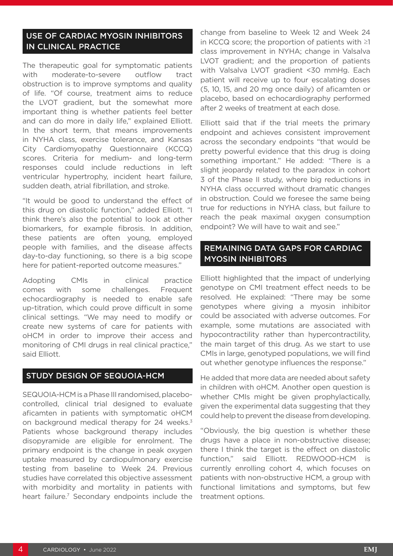#### USE OF CARDIAC MYOSIN INHIBITORS IN CLINICAL PRACTICE

The therapeutic goal for symptomatic patients with moderate-to-severe outflow tract obstruction is to improve symptoms and quality of life. "Of course, treatment aims to reduce the LVOT gradient, but the somewhat more important thing is whether patients feel better and can do more in daily life," explained Elliott. In the short term, that means improvements in NYHA class, exercise tolerance, and Kansas City Cardiomyopathy Questionnaire (KCCQ) scores. Criteria for medium- and long-term responses could include reductions in left ventricular hypertrophy, incident heart failure, sudden death, atrial fibrillation, and stroke.

"It would be good to understand the effect of this drug on diastolic function," added Elliott. "I think there's also the potential to look at other biomarkers, for example fibrosis. In addition, these patients are often young, employed people with families, and the disease affects day-to-day functioning, so there is a big scope here for patient-reported outcome measures."

Adopting CMIs in clinical practice comes with some challenges. Frequent echocardiography is needed to enable safe up-titration, which could prove difficult in some clinical settings. "We may need to modify or create new systems of care for patients with oHCM in order to improve their access and monitoring of CMI drugs in real clinical practice," said Elliott.

#### STUDY DESIGN OF SEQUOIA-HCM

SEQUOIA-HCM is a Phase III randomised, placebocontrolled, clinical trial designed to evaluate aficamten in patients with symptomatic oHCM on background medical therapy for 24 weeks.<sup>3</sup> Patients whose background therapy includes disopyramide are eligible for enrolment. The primary endpoint is the change in peak oxygen uptake measured by cardiopulmonary exercise testing from baseline to Week 24. Previous studies have correlated this objective assessment with morbidity and mortality in patients with heart failure.<sup>7</sup> Secondary endpoints include the change from baseline to Week 12 and Week 24 in KCCQ score; the proportion of patients with ≥1 class improvement in NYHA; change in Valsalva LVOT gradient; and the proportion of patients with Valsalva LVOT gradient <30 mmHg. Each patient will receive up to four escalating doses (5, 10, 15, and 20 mg once daily) of aficamten or placebo, based on echocardiography performed after 2 weeks of treatment at each dose.

Elliott said that if the trial meets the primary endpoint and achieves consistent improvement across the secondary endpoints "that would be pretty powerful evidence that this drug is doing something important." He added: "There is a slight jeopardy related to the paradox in cohort 3 of the Phase II study, where big reductions in NYHA class occurred without dramatic changes in obstruction. Could we foresee the same being true for reductions in NYHA class, but failure to reach the peak maximal oxygen consumption endpoint? We will have to wait and see."

### REMAINING DATA GAPS FOR CARDIAC MYOSIN INHIBITORS

Elliott highlighted that the impact of underlying genotype on CMI treatment effect needs to be resolved. He explained: "There may be some genotypes where giving a myosin inhibitor could be associated with adverse outcomes. For example, some mutations are associated with hypocontractility rather than hypercontractility, the main target of this drug. As we start to use CMIs in large, genotyped populations, we will find out whether genotype influences the response."

He added that more data are needed about safety in children with oHCM. Another open question is whether CMIs might be given prophylactically, given the experimental data suggesting that they could help to prevent the disease from developing.

"Obviously, the big question is whether these drugs have a place in non-obstructive disease; there I think the target is the effect on diastolic function," said Elliott. REDWOOD-HCM is currently enrolling cohort 4, which focuses on patients with non-obstructive HCM, a group with functional limitations and symptoms, but few treatment options.